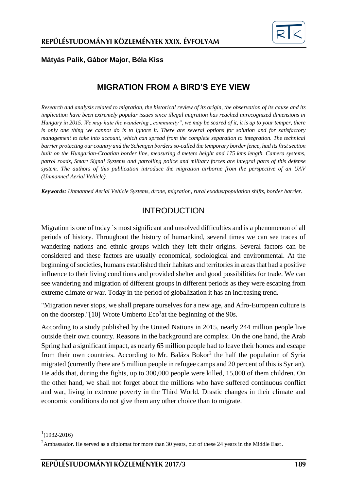

#### **Mátyás Palik, Gábor Major, Béla Kiss**

### **MIGRATION FROM A BIRD'S EYE VIEW**

*Research and analysis related to migration, the historical review of its origin, the observation of its cause and its implication have been extremely popular issues since illegal migration has reached unrecognized dimensions in Hungary in 2015. We may hate the wandering "community", we may be scared of it, it is up to your temper, there is only one thing we cannot do is to ignore it. There are several options for solution and for satisfactory management to take into account, which can spread from the complete separation to integration. The technical barrier protecting our country and the Schengen borders so-called the temporary border fence, had its first section built on the Hungarian-Croatian border line, measuring 4 meters height and 175 kms length. Camera systems, patrol roads, Smart Signal Systems and patrolling police and military forces are integral parts of this defense system. The authors of this publication introduce the migration airborne from the perspective of an UAV (Unmanned Aerial Vehicle).*

*Keywords: Unmanned Aerial Vehicle Systems, drone, migration, rural exodus/population shifts, border barrier.*

## INTRODUCTION

Migration is one of today `s most significant and unsolved difficulties and is a phenomenon of all periods of history. Throughout the history of humankind, several times we can see traces of wandering nations and ethnic groups which they left their origins. Several factors can be considered and these factors are usually economical, sociological and environmental. At the beginning of societies, humans established their habitats and territories in areas that had a positive influence to their living conditions and provided shelter and good possibilities for trade. We can see wandering and migration of different groups in different periods as they were escaping from extreme climate or war. Today in the period of globalization it has an increasing trend.

"Migration never stops, we shall prepare ourselves for a new age, and Afro-European culture is on the doorstep.["\[10\]](#page-12-0) Wrote Umberto  $Eco<sup>1</sup>$ at the beginning of the 90s.

According to a study published by the United Nations in 2015, nearly 244 million people live outside their own country. Reasons in the background are complex. On the one hand, the Arab Spring had a significant impact, as nearly 65 million people had to leave their homes and escape from their own countries. According to Mr. Balázs Bokor<sup>2</sup> the half the population of Syria migrated (currently there are 5 million people in refugee camps and 20 percent of this is Syrian). He adds that, during the fights, up to 300,000 people were killed, 15,000 of them children. On the other hand, we shall not forget about the millions who have suffered continuous conflict and war, living in extreme poverty in the Third World. Drastic changes in their climate and economic conditions do not give them any other choice than to migrate.

1

 $1(1932 - 2016)$ 

<sup>&</sup>lt;sup>2</sup>Ambassador. He served as a diplomat for more than 30 years, out of these 24 years in the Middle East.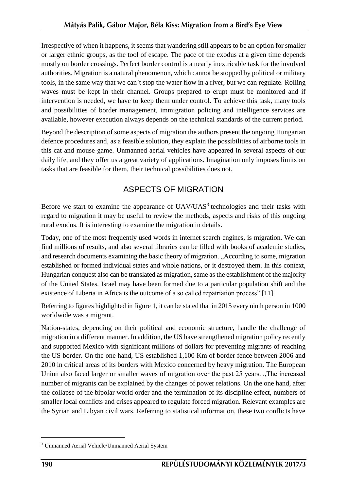Irrespective of when it happens, it seems that wandering still appears to be an option for smaller or larger ethnic groups, as the tool of escape. The pace of the exodus at a given time depends mostly on border crossings. Perfect border control is a nearly inextricable task for the involved authorities. Migration is a natural phenomenon, which cannot be stopped by political or military tools, in the same way that we can`t stop the water flow in a river, but we can regulate. Rolling waves must be kept in their channel. Groups prepared to erupt must be monitored and if intervention is needed, we have to keep them under control. To achieve this task, many tools and possibilities of border management, immigration policing and intelligence services are available, however execution always depends on the technical standards of the current period.

Beyond the description of some aspects of migration the authors present the ongoing Hungarian defence procedures and, as a feasible solution, they explain the possibilities of airborne tools in this cat and mouse game. Unmanned aerial vehicles have appeared in several aspects of our daily life, and they offer us a great variety of applications. Imagination only imposes limits on tasks that are feasible for them, their technical possibilities does not.

# ASPECTS OF MIGRATION

Before we start to examine the appearance of  $UAV/UAS<sup>3</sup>$  technologies and their tasks with regard to migration it may be useful to review the methods, aspects and risks of this ongoing rural exodus. It is interesting to examine the migration in details.

Today, one of the most frequently used words in internet search engines, is migration. We can find millions of results, and also several libraries can be filled with books of academic studies, and research documents examining the basic theory of migration. "According to some, migration established or formed individual states and whole nations, or it destroyed them. In this context, Hungarian conquest also can be translated as migration, same as the establishment of the majority of the United States. Israel may have been formed due to a particular population shift and the existence of Liberia in Africa is the outcome of a so called repatriation process" [\[11\].](#page-12-1)

Referring to figures highlighted in figure 1, it can be stated that in 2015 every ninth person in 1000 worldwide was a migrant.

Nation-states, depending on their political and economic structure, handle the challenge of migration in a different manner. In addition, the US have strengthened migration policy recently and supported Mexico with significant millions of dollars for preventing migrants of reaching the US border. On the one hand, US established 1,100 Km of border fence between 2006 and 2010 in critical areas of its borders with Mexico concerned by heavy migration. The European Union also faced larger or smaller waves of migration over the past 25 years. "The increased number of migrants can be explained by the changes of power relations. On the one hand, after the collapse of the bipolar world order and the termination of its discipline effect, numbers of smaller local conflicts and crises appeared to regulate forced migration. Relevant examples are the Syrian and Libyan civil wars. Referring to statistical information, these two conflicts have

<u>.</u>

<sup>3</sup> Unmanned Aerial Vehicle/Unmanned Aerial System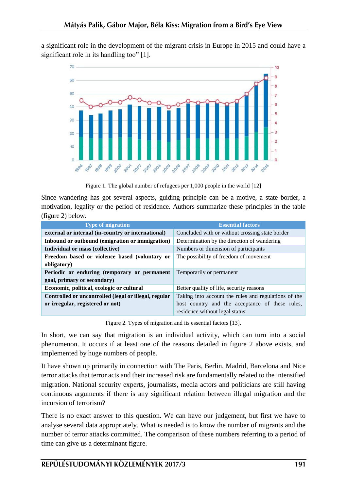a significant role in the development of the migrant crisis in Europe in 2015 and could have a significant role in its handling too" [\[1\].](#page-12-2)



Figure 1. The global number of refugees per 1,000 people in the world [12]

Since wandering has got several aspects, guiding principle can be a motive, a state border, a motivation, legality or the period of residence. Authors summarize these principles in the table (figure 2) below.

| <b>Type of migration</b>                              | <b>Essential factors</b>                             |
|-------------------------------------------------------|------------------------------------------------------|
| external or internal (in-country or international)    | Concluded with or without crossing state border      |
| Inbound or outbound (emigration or immigration)       | Determination by the direction of wandering          |
| Individual or mass (collective)                       | Numbers or dimension of participants                 |
| Freedom based or violence based (voluntary or         | The possibility of freedom of movement               |
| obligatory)                                           |                                                      |
| Periodic or enduring (temporary or permanent          | Temporarily or permanent                             |
| goal, primary or secondary)                           |                                                      |
| Economic, political, ecologic or cultural             | Better quality of life, security reasons             |
| Controlled or uncontrolled (legal or illegal, regular | Taking into account the rules and regulations of the |
| or irregular, registered or not)                      | host country and the acceptance of these rules,      |
|                                                       | residence without legal status                       |

Figure 2. Types of migration and its essential factors [13].

In short, we can say that migration is an individual activity, which can turn into a social phenomenon. It occurs if at least one of the reasons detailed in figure 2 above exists, and implemented by huge numbers of people.

It have shown up primarily in connection with The Paris, Berlin, Madrid, Barcelona and Nice terror attacks that terror acts and their increased risk are fundamentally related to the intensified migration. National security experts, journalists, media actors and politicians are still having continuous arguments if there is any significant relation between illegal migration and the incursion of terrorism?

There is no exact answer to this question. We can have our judgement, but first we have to analyse several data appropriately. What is needed is to know the number of migrants and the number of terror attacks committed. The comparison of these numbers referring to a period of time can give us a determinant figure.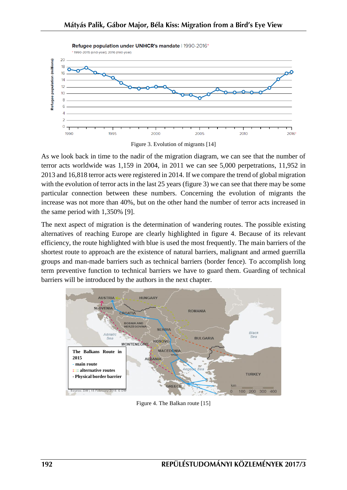

Figure 3. Evolution of migrants [14]

As we look back in time to the nadir of the migration diagram, we can see that the number of terror acts worldwide was 1,159 in 2004, in 2011 we can see 5,000 perpetrations, 11,952 in 2013 and 16,818 terror acts were registered in 2014. If we compare the trend of global migration with the evolution of terror acts in the last 25 years (figure 3) we can see that there may be some particular connection between these numbers. Concerning the evolution of migrants the increase was not more than 40%, but on the other hand the number of terror acts increased in the same period with 1,350% [\[9\].](#page-12-3)

The next aspect of migration is the determination of wandering routes. The possible existing alternatives of reaching Europe are clearly highlighted in figure 4. Because of its relevant efficiency, the route highlighted with blue is used the most frequently. The main barriers of the shortest route to approach are the existence of natural barriers, malignant and armed guerrilla groups and man-made barriers such as technical barriers (border fence). To accomplish long term preventive function to technical barriers we have to guard them. Guarding of technical barriers will be introduced by the authors in the next chapter.



Figure 4. The Balkan route [15]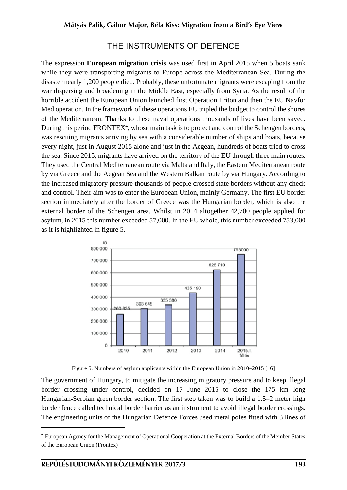## THE INSTRUMENTS OF DEFENCE

The expression **European migration crisis** was used first in April 2015 when 5 boats sank while they were transporting migrants to Europe across the Mediterranean Sea. During the disaster nearly 1,200 people died. Probably, these unfortunate migrants were escaping from the war dispersing and broadening in the Middle East, especially from Syria. As the result of the horrible accident the European Union launched first Operation Triton and then the EU Navfor Med operation. In the framework of these operations EU tripled the budget to control the shores of the Mediterranean. Thanks to these naval operations thousands of lives have been saved. During this period FRONTEX<sup>4</sup>, whose main task is to protect and control the Schengen borders, was rescuing migrants arriving by sea with a considerable number of ships and boats, because every night, just in August 2015 alone and just in the Aegean, hundreds of boats tried to cross the sea. Since 2015, migrants have arrived on the territory of the EU through three main routes. They used the Central Mediterranean route via Malta and Italy, the Eastern Mediterranean route by via Greece and the Aegean Sea and the Western Balkan route by via Hungary. According to the increased migratory pressure thousands of people crossed state borders without any check and control. Their aim was to enter the European Union, mainly Germany. The first EU border section immediately after the border of Greece was the Hungarian border, which is also the external border of the Schengen area. Whilst in 2014 altogether 42,700 people applied for asylum, in 2015 this number exceeded 57,000. In the EU whole, this number exceeded 753,000 as it is highlighted in figure 5.



Figure 5. Numbers of asylum applicants within the European Union in 2010–2015 [16]

The government of Hungary, to mitigate the increasing migratory pressure and to keep illegal border crossing under control, decided on 17 June 2015 to close the 175 km long Hungarian–Serbian green border section. The first step taken was to build a 1.5–2 meter high border fence called technical border barrier as an instrument to avoid illegal border crossings. The engineering units of the Hungarian Defence Forces used metal poles fitted with 3 lines of

1

<sup>&</sup>lt;sup>4</sup> European Agency for the Management of Operational Cooperation at the External Borders of the Member States of the European Union (Frontex)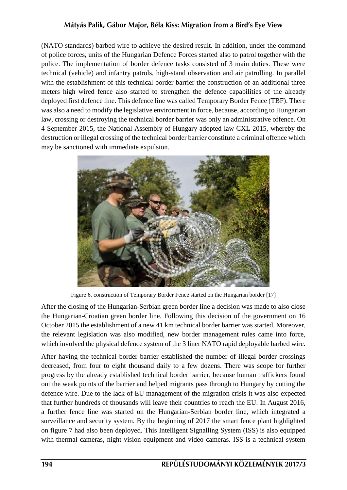(NATO standards) barbed wire to achieve the desired result. In addition, under the command of police forces, units of the Hungarian Defence Forces started also to patrol together with the police. The implementation of border defence tasks consisted of 3 main duties. These were technical (vehicle) and infantry patrols, high-stand observation and air patrolling. In parallel with the establishment of this technical border barrier the construction of an additional three meters high wired fence also started to strengthen the defence capabilities of the already deployed first defence line. This defence line was called Temporary Border Fence (TBF). There was also a need to modify the legislative environment in force, because, according to Hungarian law, crossing or destroying the technical border barrier was only an administrative offence. On 4 September 2015, the National Assembly of Hungary adopted law CXL 2015, whereby the destruction or illegal crossing of the technical border barrier constitute a criminal offence which may be sanctioned with immediate expulsion.



Figure 6. construction of Temporary Border Fence started on the Hungarian border [17]

After the closing of the Hungarian-Serbian green border line a decision was made to also close the Hungarian-Croatian green border line. Following this decision of the government on 16 October 2015 the establishment of a new 41 km technical border barrier was started. Moreover, the relevant legislation was also modified, new border management rules came into force, which involved the physical defence system of the 3 liner NATO rapid deployable barbed wire.

After having the technical border barrier established the number of illegal border crossings decreased, from four to eight thousand daily to a few dozens. There was scope for further progress by the already established technical border barrier, because human traffickers found out the weak points of the barrier and helped migrants pass through to Hungary by cutting the defence wire. Due to the lack of EU management of the migration crisis it was also expected that further hundreds of thousands will leave their countries to reach the EU. In August 2016, a further fence line was started on the Hungarian-Serbian border line, which integrated a surveillance and security system. By the beginning of 2017 the smart fence plant highlighted on figure 7 had also been deployed. This Intelligent Signalling System (ISS) is also equipped with thermal cameras, night vision equipment and video cameras. ISS is a technical system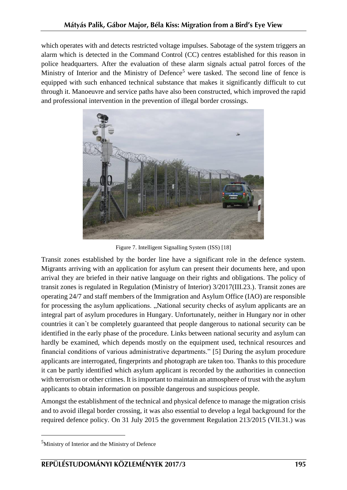which operates with and detects restricted voltage impulses. Sabotage of the system triggers an alarm which is detected in the Command Control (CC) centres established for this reason in police headquarters. After the evaluation of these alarm signals actual patrol forces of the Ministry of Interior and the Ministry of Defence<sup>5</sup> were tasked. The second line of fence is equipped with such enhanced technical substance that makes it significantly difficult to cut through it. Manoeuvre and service paths have also been constructed, which improved the rapid and professional intervention in the prevention of illegal border crossings.



Figure 7. Intelligent Signalling System (ISS) [18]

Transit zones established by the border line have a significant role in the defence system. Migrants arriving with an application for asylum can present their documents here, and upon arrival they are briefed in their native language on their rights and obligations. The policy of transit zones is regulated in Regulation (Ministry of Interior) 3/2017(III.23.). Transit zones are operating 24/7 and staff members of the Immigration and Asylum Office (IAO) are responsible for processing the asylum applications. "National security checks of asylum applicants are an integral part of asylum procedures in Hungary. Unfortunately, neither in Hungary nor in other countries it can`t be completely guaranteed that people dangerous to national security can be identified in the early phase of the procedure. Links between national security and asylum can hardly be examined, which depends mostly on the equipment used, technical resources and financial conditions of various administrative departments." [\[5\]](#page-12-4) During the asylum procedure applicants are interrogated, fingerprints and photograph are taken too. Thanks to this procedure it can be partly identified which asylum applicant is recorded by the authorities in connection with terrorism or other crimes. It is important to maintain an atmosphere of trust with the asylum applicants to obtain information on possible dangerous and suspicious people.

Amongst the establishment of the technical and physical defence to manage the migration crisis and to avoid illegal border crossing, it was also essential to develop a legal background for the required defence policy. On 31 July 2015 the government Regulation 213/2015 (VII.31.) was

1

<sup>&</sup>lt;sup>5</sup>Ministry of Interior and the Ministry of Defence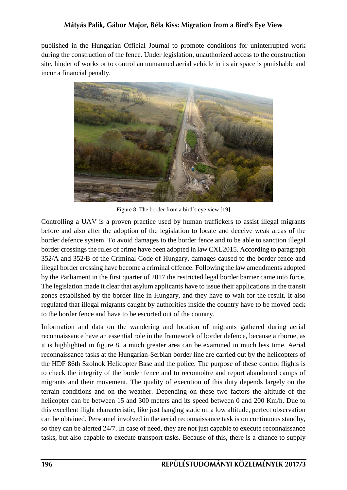published in the Hungarian Official Journal to promote conditions for uninterrupted work during the construction of the fence. Under legislation, unauthorized access to the construction site, hinder of works or to control an unmanned aerial vehicle in its air space is punishable and incur a financial penalty.



Figure 8. The border from a bird`s eye view [19]

Controlling a UAV is a proven practice used by human traffickers to assist illegal migrants before and also after the adoption of the legislation to locate and deceive weak areas of the border defence system. To avoid damages to the border fence and to be able to sanction illegal border crossings the rules of crime have been adopted in law CXL2015. According to paragraph 352/A and 352/B of the Criminal Code of Hungary, damages caused to the border fence and illegal border crossing have become a criminal offence. Following the law amendments adopted by the Parliament in the first quarter of 2017 the restricted legal border barrier came into force. The legislation made it clear that asylum applicants have to issue their applications in the transit zones established by the border line in Hungary, and they have to wait for the result. It also regulated that illegal migrants caught by authorities inside the country have to be moved back to the border fence and have to be escorted out of the country.

Information and data on the wandering and location of migrants gathered during aerial reconnaissance have an essential role in the framework of border defence, because airborne, as it is highlighted in figure 8, a much greater area can be examined in much less time. Aerial reconnaissance tasks at the Hungarian-Serbian border line are carried out by the helicopters of the HDF 86th Szolnok Helicopter Base and the police. The purpose of these control flights is to check the integrity of the border fence and to reconnoitre and report abandoned camps of migrants and their movement. The quality of execution of this duty depends largely on the terrain conditions and on the weather. Depending on these two factors the altitude of the helicopter can be between 15 and 300 meters and its speed between 0 and 200 Km/h. Due to this excellent flight characteristic, like just hanging static on a low altitude, perfect observation can be obtained. Personnel involved in the aerial reconnaissance task is on continuous standby, so they can be alerted 24/7. In case of need, they are not just capable to execute reconnaissance tasks, but also capable to execute transport tasks. Because of this, there is a chance to supply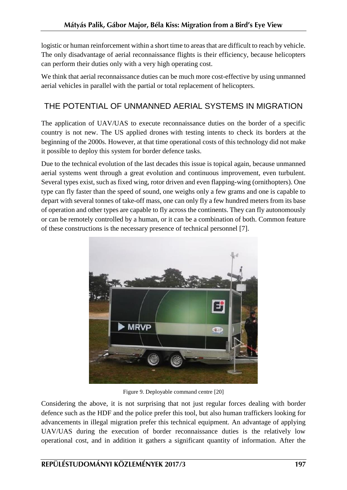logistic or human reinforcement within a short time to areas that are difficult to reach by vehicle. The only disadvantage of aerial reconnaissance flights is their efficiency, because helicopters can perform their duties only with a very high operating cost.

We think that aerial reconnaissance duties can be much more cost-effective by using unmanned aerial vehicles in parallel with the partial or total replacement of helicopters.

## THE POTENTIAL OF UNMANNED AERIAL SYSTEMS IN MIGRATION

The application of UAV/UAS to execute reconnaissance duties on the border of a specific country is not new. The US applied drones with testing intents to check its borders at the beginning of the 2000s. However, at that time operational costs of this technology did not make it possible to deploy this system for border defence tasks.

Due to the technical evolution of the last decades this issue is topical again, because unmanned aerial systems went through a great evolution and continuous improvement, even turbulent. Several types exist, such as fixed wing, rotor driven and even flapping-wing (ornithopters). One type can fly faster than the speed of sound, one weighs only a few grams and one is capable to depart with several tonnes of take-off mass, one can only fly a few hundred meters from its base of operation and other types are capable to fly across the continents. They can fly autonomously or can be remotely controlled by a human, or it can be a combination of both. Common feature of these constructions is the necessary presence of technical personnel [\[7\].](#page-12-5)



Figure 9. Deployable command centre [20]

Considering the above, it is not surprising that not just regular forces dealing with border defence such as the HDF and the police prefer this tool, but also human traffickers looking for advancements in illegal migration prefer this technical equipment. An advantage of applying UAV/UAS during the execution of border reconnaissance duties is the relatively low operational cost, and in addition it gathers a significant quantity of information. After the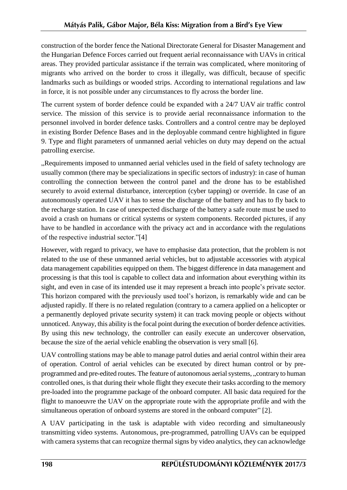construction of the border fence the National Directorate General for Disaster Management and the Hungarian Defence Forces carried out frequent aerial reconnaissance with UAVs in critical areas. They provided particular assistance if the terrain was complicated, where monitoring of migrants who arrived on the border to cross it illegally, was difficult, because of specific landmarks such as buildings or wooded strips. According to international regulations and law in force, it is not possible under any circumstances to fly across the border line.

The current system of border defence could be expanded with a 24/7 UAV air traffic control service. The mission of this service is to provide aerial reconnaissance information to the personnel involved in border defence tasks. Controllers and a control centre may be deployed in existing Border Defence Bases and in the deployable command centre highlighted in figure 9. Type and flight parameters of unmanned aerial vehicles on duty may depend on the actual patrolling exercise.

"Requirements imposed to unmanned aerial vehicles used in the field of safety technology are usually common (there may be specializations in specific sectors of industry): in case of human controlling the connection between the control panel and the drone has to be established securely to avoid external disturbance, interception (cyber tapping) or override. In case of an autonomously operated UAV it has to sense the discharge of the battery and has to fly back to the recharge station. In case of unexpected discharge of the battery a safe route must be used to avoid a crash on humans or critical systems or system components. Recorded pictures, if any have to be handled in accordance with the privacy act and in accordance with the regulations of the respective industrial sector.["\[4\]](#page-12-6)

However, with regard to privacy, we have to emphasise data protection, that the problem is not related to the use of these unmanned aerial vehicles, but to adjustable accessories with atypical data management capabilities equipped on them. The biggest difference in data management and processing is that this tool is capable to collect data and information about everything within its sight, and even in case of its intended use it may represent a breach into people's private sector. This horizon compared with the previously used tool's horizon, is remarkably wide and can be adjusted rapidly. If there is no related regulation (contrary to a camera applied on a helicopter or a permanently deployed private security system) it can track moving people or objects without unnoticed. Anyway, this ability is the focal point during the execution of border defence activities. By using this new technology, the controller can easily execute an undercover observation, because the size of the aerial vehicle enabling the observation is very small [\[6\].](#page-12-7)

UAV controlling stations may be able to manage patrol duties and aerial control within their area of operation. Control of aerial vehicles can be executed by direct human control or by preprogrammed and pre-edited routes. The feature of autonomous aerial systems, "contrary to human controlled ones, is that during their whole flight they execute their tasks according to the memory pre-loaded into the programme package of the onboard computer. All basic data required for the flight to manoeuvre the UAV on the appropriate route with the appropriate profile and with the simultaneous operation of onboard systems are stored in the onboard computer" [\[2\].](#page-12-8)

A UAV participating in the task is adaptable with video recording and simultaneously transmitting video systems. Autonomous, pre-programmed, patrolling UAVs can be equipped with camera systems that can recognize thermal signs by video analytics, they can acknowledge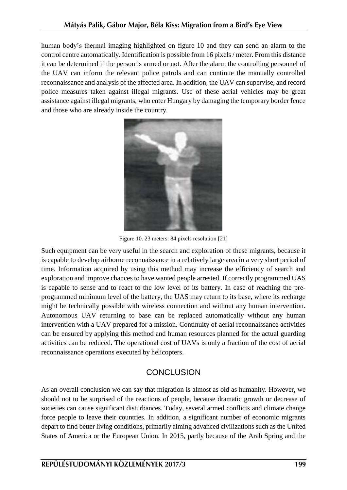human body's thermal imaging highlighted on figure 10 and they can send an alarm to the control centre automatically. Identification is possible from 16 pixels / meter. From this distance it can be determined if the person is armed or not. After the alarm the controlling personnel of the UAV can inform the relevant police patrols and can continue the manually controlled reconnaissance and analysis of the affected area. In addition, the UAV can supervise, and record police measures taken against illegal migrants. Use of these aerial vehicles may be great assistance against illegal migrants, who enter Hungary by damaging the temporary border fence and those who are already inside the country.



Figure 10. 23 meters: 84 pixels resolution [21]

Such equipment can be very useful in the search and exploration of these migrants, because it is capable to develop airborne reconnaissance in a relatively large area in a very short period of time. Information acquired by using this method may increase the efficiency of search and exploration and improve chances to have wanted people arrested. If correctly programmed UAS is capable to sense and to react to the low level of its battery. In case of reaching the preprogrammed minimum level of the battery, the UAS may return to its base, where its recharge might be technically possible with wireless connection and without any human intervention. Autonomous UAV returning to base can be replaced automatically without any human intervention with a UAV prepared for a mission. Continuity of aerial reconnaissance activities can be ensured by applying this method and human resources planned for the actual guarding activities can be reduced. The operational cost of UAVs is only a fraction of the cost of aerial reconnaissance operations executed by helicopters.

## **CONCLUSION**

As an overall conclusion we can say that migration is almost as old as humanity. However, we should not to be surprised of the reactions of people, because dramatic growth or decrease of societies can cause significant disturbances. Today, several armed conflicts and climate change force people to leave their countries. In addition, a significant number of economic migrants depart to find better living conditions, primarily aiming advanced civilizations such as the United States of America or the European Union. In 2015, partly because of the Arab Spring and the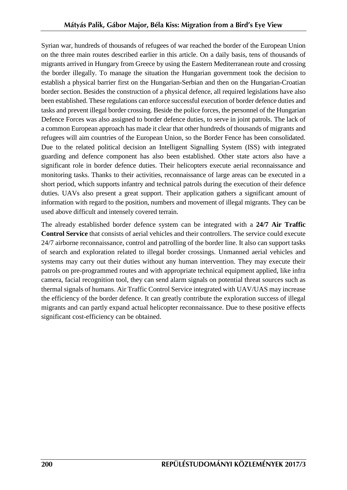Syrian war, hundreds of thousands of refugees of war reached the border of the European Union on the three main routes described earlier in this article. On a daily basis, tens of thousands of migrants arrived in Hungary from Greece by using the Eastern Mediterranean route and crossing the border illegally. To manage the situation the Hungarian government took the decision to establish a physical barrier first on the Hungarian-Serbian and then on the Hungarian-Croatian border section. Besides the construction of a physical defence, all required legislations have also been established. These regulations can enforce successful execution of border defence duties and tasks and prevent illegal border crossing. Beside the police forces, the personnel of the Hungarian Defence Forces was also assigned to border defence duties, to serve in joint patrols. The lack of a common European approach has made it clear that other hundreds of thousands of migrants and refugees will aim countries of the European Union, so the Border Fence has been consolidated. Due to the related political decision an Intelligent Signalling System (ISS) with integrated guarding and defence component has also been established. Other state actors also have a significant role in border defence duties. Their helicopters execute aerial reconnaissance and monitoring tasks. Thanks to their activities, reconnaissance of large areas can be executed in a short period, which supports infantry and technical patrols during the execution of their defence duties. UAVs also present a great support. Their application gathers a significant amount of information with regard to the position, numbers and movement of illegal migrants. They can be used above difficult and intensely covered terrain.

The already established border defence system can be integrated with a **24/7 Air Traffic Control Service** that consists of aerial vehicles and their controllers. The service could execute 24/7 airborne reconnaissance, control and patrolling of the border line. It also can support tasks of search and exploration related to illegal border crossings. Unmanned aerial vehicles and systems may carry out their duties without any human intervention. They may execute their patrols on pre-programmed routes and with appropriate technical equipment applied, like infra camera, facial recognition tool, they can send alarm signals on potential threat sources such as thermal signals of humans. Air Traffic Control Service integrated with UAV/UAS may increase the efficiency of the border defence. It can greatly contribute the exploration success of illegal migrants and can partly expand actual helicopter reconnaissance. Due to these positive effects significant cost-efficiency can be obtained.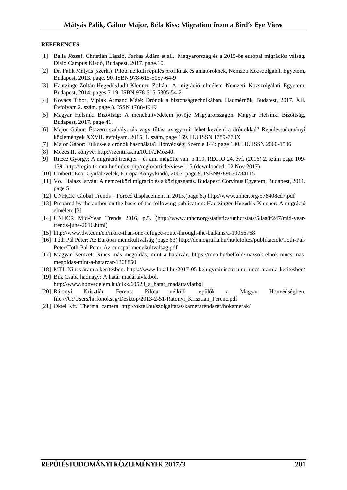#### **REFERENCES**

- <span id="page-12-2"></span>[1] Balla József, Christián László, Farkas Ádám et.all.: Magyarország és a 2015-ös európai migrációs válság. Dialó Campus Kiadó, Budapest, 2017. page.10.
- <span id="page-12-8"></span>[2] Dr. Palik Mátyás (szerk.): Pilóta nélküli repülés profiknak és amatőröknek, Nemzeti Közszolgálati Egyetem, Budapest, 2013. page. 90. ISBN 978-615-5057-64-9
- <span id="page-12-9"></span>[3] HautzingerZoltán-HegedűsJudit-Klenner Zoltán: A migráció elmélete Nemzeti Közszolgálati Egyetem, Budapest, 2014. pages 7-19. ISBN 978-615-5305-54-2
- <span id="page-12-6"></span>[4] Kovács Tibor, Viplak Armand Máté: Drónok a biztonságtechnikában. Hadmérnök, Budatest, 2017. XII. Évfolyam 2. szám. page 8. ISSN 1788-1919
- <span id="page-12-4"></span>[5] Magyar Helsinki Bizottság: A menekültvédelem jövője Magyarországon. Magyar Helsinki Bizottság, Budapest, 2017. page 41.
- <span id="page-12-7"></span>[6] Major Gábor: Ésszerű szabályozás vagy tiltás, avagy mit lehet kezdeni a drónokkal? Repüléstudományi közlemények XXVII. évfolyam, 2015. 1. szám, page 169. HU ISSN 1789-770X
- <span id="page-12-5"></span>[7] Major Gábor: Etikus-e a drónok használata? Honvédségi Szemle 144: page 100. HU ISSN 2060-1506
- [8] Mózes II. könyve[: http://szentiras.hu/RUF/2Móz40.](http://szentiras.hu/RUF/2Móz40)
- <span id="page-12-3"></span>[9] Ritecz György: A migráció trendjei – és ami mögötte van. p.119. REGIO 24. évf. (2016) 2. szám page 109- 139. <http://regio.tk.mta.hu/index.php/regio/article/view/115> (downloaded: 02 Nov 2017)
- <span id="page-12-0"></span>[10] UmbertoEco: Gyufalevelek, Európa Könyvkiadó, 2007. page 9. ISBN9789630784115
- <span id="page-12-1"></span>[11] Vö.: Halász István: A nemzetközi migráció és a közigazgatás. Budapesti Corvinus Egyetem, Budapest, 2011. page 5
- [12] UNHCR: Global Trends Forced displacement in 2015.(page 6.) http://www.unhcr.org/576408cd7.pdf
- [13] Prepared by the author on the basis of the following publication: Hautzinger-Hegedűs-Klenner: A migráció elmélete [\[3\]](#page-12-9)
- [14] UNHCR Mid-Year Trends 2016, p.5. (http://www.unhcr.org/statistics/unhcrstats/58aa8f247/mid-yeartrends-june-2016.html)
- [15] http://www.dw.com/en/more-than-one-refugee-route-through-the-balkans/a-19056768
- [16] Tóth Pál Péter: Az Európai menekültválság (page 63) [http://demografia.hu/hu/letoltes/publikaciok/Toth-Pal-](http://demografia.hu/hu/letoltes/publikaciok/Toth-Pal-Peter/Toth-Pal-Peter-Az-europai-menekultvalsag.pdf)[Peter/Toth-Pal-Peter-Az-europai-menekultvalsag.pdf](http://demografia.hu/hu/letoltes/publikaciok/Toth-Pal-Peter/Toth-Pal-Peter-Az-europai-menekultvalsag.pdf)
- [17] Magyar Nemzet: Nincs más megoldás, mint a határzár. [https://mno.hu/belfold/mazsok-elnok-nincs-mas](https://mno.hu/belfold/mazsok-elnok-nincs-mas-megoldas-mint-a-hatarzar-1308850)[megoldas-mint-a-hatarzar-1308850](https://mno.hu/belfold/mazsok-elnok-nincs-mas-megoldas-mint-a-hatarzar-1308850)
- [18] MTI: Nincs áram a kerítésben. https://www.lokal.hu/2017-05-belugyminiszterium-nincs-aram-a-keritesben/
- [19] Búz Csaba hadnagy: A határ madártávlatból. http://www.honvedelem.hu/cikk/60523\_a\_hatar\_madartavlatbol
- [20] Rátonyi Krisztián Ferenc: Pilóta nélküli repülők a Magyar Honvédségben. file:///C:/Users/hirfonokseg/Desktop/2013-2-51-Ratonyi\_Krisztian\_Ferenc.pdf
- [21] Oktel Kft.: Thermal camera. http://oktel.hu/szolgaltatas/kamerarendszer/hokamerak/